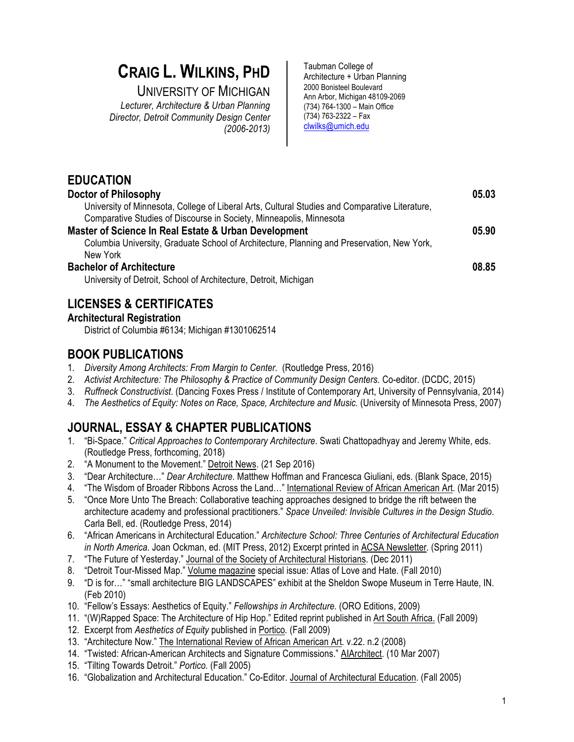# **CRAIG L. WILKINS, PHD**

UNIVERSITY OF MICHIGAN

*Lecturer, Architecture & Urban Planning Director, Detroit Community Design Center (2006-2013)*

Taubman College of Architecture + Urban Planning 2000 Bonisteel Boulevard Ann Arbor, Michigan 48109-2069 (734) 764-1300 – Main Office (734) 763-2322 – Fax clwilks@umich.edu

| <b>EDUCATION</b>                                                                               |       |
|------------------------------------------------------------------------------------------------|-------|
| Doctor of Philosophy                                                                           | 05.03 |
| University of Minnesota, College of Liberal Arts, Cultural Studies and Comparative Literature, |       |
| Comparative Studies of Discourse in Society, Minneapolis, Minnesota                            |       |
| Master of Science In Real Estate & Urban Development                                           | 05.90 |
| Columbia University, Graduate School of Architecture, Planning and Preservation, New York,     |       |
| New York                                                                                       |       |
| <b>Bachelor of Architecture</b>                                                                | 08.85 |
| University of Detroit, School of Architecture, Detroit, Michigan                               |       |

# **LICENSES & CERTIFICATES**

#### **Architectural Registration**

District of Columbia #6134; Michigan #1301062514

#### **BOOK PUBLICATIONS**

- 1. *Diversity Among Architects: From Margin to Center.* (Routledge Press, 2016)
- 2. *Activist Architecture: The Philosophy & Practice of Community Design Centers.* Co-editor. (DCDC, 2015)
- 3. *Ruffneck Constructivist*. (Dancing Foxes Press / Institute of Contemporary Art, University of Pennsylvania, 2014)
- 4. *The Aesthetics of Equity: Notes on Race, Space, Architecture and Music.* (University of Minnesota Press, 2007)

# **JOURNAL, ESSAY & CHAPTER PUBLICATIONS**

- 1. "Bi-Space." *Critical Approaches to Contemporary Architecture*. Swati Chattopadhyay and Jeremy White, eds. (Routledge Press, forthcoming, 2018)
- 2. "A Monument to the Movement." Detroit News. (21 Sep 2016)
- 3. "Dear Architecture…" *Dear Architecture*. Matthew Hoffman and Francesca Giuliani, eds. (Blank Space, 2015)
- 4. "The Wisdom of Broader Ribbons Across the Land…" International Review of African American Art. (Mar 2015)
- 5. "Once More Unto The Breach: Collaborative teaching approaches designed to bridge the rift between the architecture academy and professional practitioners." *Space Unveiled: Invisible Cultures in the Design Studio*. Carla Bell, ed. (Routledge Press, 2014)
- 6. "African Americans in Architectural Education." *Architecture School: Three Centuries of Architectural Education in North America.* Joan Ockman, ed. (MIT Press, 2012) Excerpt printed in ACSA Newsletter. (Spring 2011)
- 7. "The Future of Yesterday." Journal of the Society of Architectural Historians. (Dec 2011)
- 8. "Detroit Tour-Missed Map." Volume magazine special issue: Atlas of Love and Hate. (Fall 2010)
- 9. "D is for…" "small architecture BIG LANDSCAPES" exhibit at the Sheldon Swope Museum in Terre Haute, IN. (Feb 2010)
- 10. "Fellow's Essays: Aesthetics of Equity." *Fellowships in Architecture.* (ORO Editions, 2009)
- 11. "(W)Rapped Space: The Architecture of Hip Hop." Edited reprint published in Art South Africa. (Fall 2009)
- 12. Excerpt from *Aesthetics of Equity* published in Portico*.* (Fall 2009)
- 13. "Architecture Now." The International Review of African American Art*.* v.22. n.2 (2008)
- 14. "Twisted: African-American Architects and Signature Commissions." AIArchitect. (10 Mar 2007)
- 15. "Tilting Towards Detroit." *Portico.* (Fall 2005)
- 16. "Globalization and Architectural Education." Co-Editor. Journal of Architectural Education. (Fall 2005)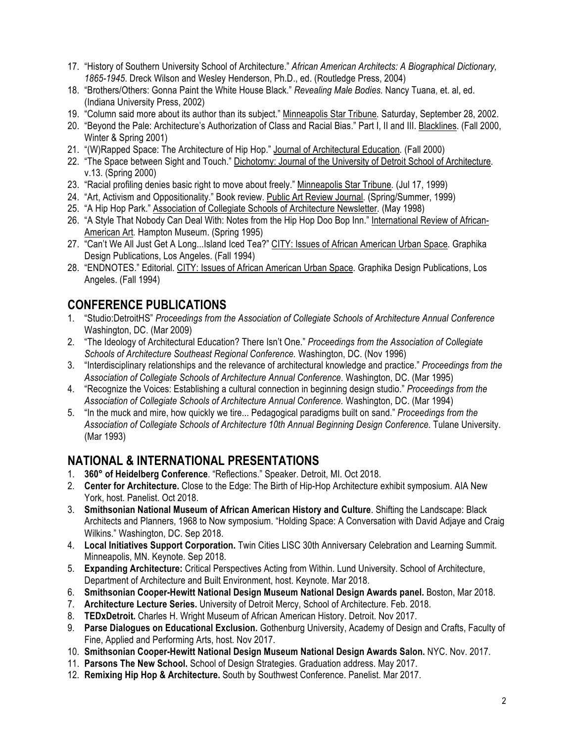- 17. "History of Southern University School of Architecture." *African American Architects: A Biographical Dictionary, 1865-1945*. Dreck Wilson and Wesley Henderson, Ph.D., ed. (Routledge Press, 2004)
- 18. "Brothers/Others: Gonna Paint the White House Black." *Revealing Male Bodies.* Nancy Tuana, et. al, ed. (Indiana University Press, 2002)
- 19. "Column said more about its author than its subject." Minneapolis Star Tribune*.* Saturday, September 28, 2002.
- 20. "Beyond the Pale: Architecture's Authorization of Class and Racial Bias." Part I, II and III. Blacklines. (Fall 2000, Winter & Spring 2001)
- 21. "(W)Rapped Space: The Architecture of Hip Hop." Journal of Architectural Education*.* (Fall 2000)
- 22. "The Space between Sight and Touch." Dichotomy: Journal of the University of Detroit School of Architecture*.*  v.13. (Spring 2000)
- 23. "Racial profiling denies basic right to move about freely." Minneapolis Star Tribune*.* (Jul 17, 1999)
- 24. "Art, Activism and Oppositionality." Book review. Public Art Review Journal*.* (Spring/Summer, 1999)
- 25. "A Hip Hop Park." Association of Collegiate Schools of Architecture Newsletter*.* (May 1998)
- 26. "A Style That Nobody Can Deal With: Notes from the Hip Hop Doo Bop Inn." International Review of African-American Art*.* Hampton Museum. (Spring 1995)
- 27. "Can't We All Just Get A Long...Island Iced Tea?" CITY: Issues of African American Urban Space*.* Graphika Design Publications, Los Angeles. (Fall 1994)
- 28. "ENDNOTES." Editorial. CITY: Issues of African American Urban Space*.* Graphika Design Publications, Los Angeles. (Fall 1994)

### **CONFERENCE PUBLICATIONS**

- 1. "Studio:DetroitHS" *Proceedings from the Association of Collegiate Schools of Architecture Annual Conference*  Washington, DC. (Mar 2009)
- 2. "The Ideology of Architectural Education? There Isn't One." *Proceedings from the Association of Collegiate Schools of Architecture Southeast Regional Conference.* Washington, DC. (Nov 1996)
- 3. "Interdisciplinary relationships and the relevance of architectural knowledge and practice." *Proceedings from the Association of Collegiate Schools of Architecture Annual Conference.* Washington, DC. (Mar 1995)
- 4. "Recognize the Voices: Establishing a cultural connection in beginning design studio." *Proceedings from the Association of Collegiate Schools of Architecture Annual Conference.* Washington, DC. (Mar 1994)
- 5. "In the muck and mire, how quickly we tire... Pedagogical paradigms built on sand." *Proceedings from the Association of Collegiate Schools of Architecture 10th Annual Beginning Design Conference.* Tulane University. (Mar 1993)

#### **NATIONAL & INTERNATIONAL PRESENTATIONS**

- 1. **360° of Heidelberg Conference**. "Reflections." Speaker. Detroit, MI. Oct 2018.
- 2. **Center for Architecture.** Close to the Edge: The Birth of Hip-Hop Architecture exhibit symposium. AIA New York, host. Panelist. Oct 2018.
- 3. **Smithsonian National Museum of African American History and Culture**. Shifting the Landscape: Black Architects and Planners, 1968 to Now symposium. "Holding Space: A Conversation with David Adjaye and Craig Wilkins." Washington, DC. Sep 2018.
- 4. **Local Initiatives Support Corporation.** Twin Cities LISC 30th Anniversary Celebration and Learning Summit. Minneapolis, MN. Keynote. Sep 2018.
- 5. **Expanding Architecture:** Critical Perspectives Acting from Within. Lund University. School of Architecture, Department of Architecture and Built Environment, host. Keynote. Mar 2018.
- 6. **Smithsonian Cooper-Hewitt National Design Museum National Design Awards panel.** Boston, Mar 2018.
- 7. **Architecture Lecture Series.** University of Detroit Mercy, School of Architecture. Feb. 2018.
- 8. **TEDxDetroit.** Charles H. Wright Museum of African American History. Detroit. Nov 2017.
- 9. **Parse Dialogues on Educational Exclusion.** Gothenburg University, Academy of Design and Crafts, Faculty of Fine, Applied and Performing Arts, host. Nov 2017.
- 10. **Smithsonian Cooper-Hewitt National Design Museum National Design Awards Salon.** NYC. Nov. 2017.
- 11. **Parsons The New School.** School of Design Strategies. Graduation address. May 2017.
- 12. **Remixing Hip Hop & Architecture.** South by Southwest Conference. Panelist. Mar 2017.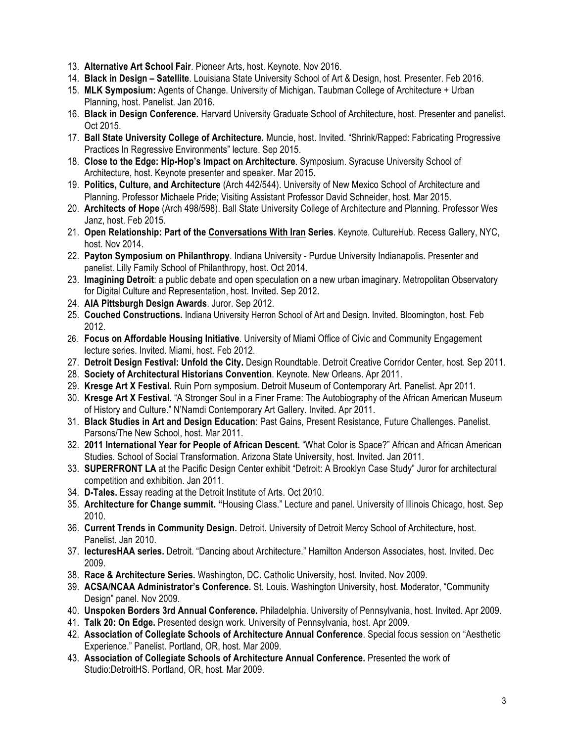- 13. **Alternative Art School Fair**. Pioneer Arts, host. Keynote. Nov 2016.
- 14. **Black in Design Satellite**. Louisiana State University School of Art & Design, host. Presenter. Feb 2016.
- 15. **MLK Symposium:** Agents of Change. University of Michigan. Taubman College of Architecture + Urban Planning, host. Panelist. Jan 2016.
- 16. **Black in Design Conference.** Harvard University Graduate School of Architecture, host. Presenter and panelist. Oct 2015.
- 17. **Ball State University College of Architecture.** Muncie, host. Invited. "Shrink/Rapped: Fabricating Progressive Practices In Regressive Environments" lecture. Sep 2015.
- 18. **Close to the Edge: Hip-Hop's Impact on Architecture**. Symposium. Syracuse University School of Architecture, host. Keynote presenter and speaker. Mar 2015.
- 19. **Politics, Culture, and Architecture** (Arch 442/544). University of New Mexico School of Architecture and Planning. Professor Michaele Pride; Visiting Assistant Professor David Schneider, host. Mar 2015.
- 20. **Architects of Hope** (Arch 498/598). Ball State University College of Architecture and Planning. Professor Wes Janz, host. Feb 2015.
- 21. **Open Relationship: Part of the Conversations With Iran Series**. Keynote. CultureHub. Recess Gallery, NYC, host. Nov 2014.
- 22. **Payton Symposium on Philanthropy**. Indiana University Purdue University Indianapolis. Presenter and panelist. Lilly Family School of Philanthropy, host. Oct 2014.
- 23. **Imagining Detroit**: a public debate and open speculation on a new urban imaginary. Metropolitan Observatory for Digital Culture and Representation, host. Invited. Sep 2012.
- 24. **AIA Pittsburgh Design Awards**. Juror. Sep 2012.
- 25. **Couched Constructions.** Indiana University Herron School of Art and Design. Invited. Bloomington, host. Feb 2012.
- 26. **Focus on Affordable Housing Initiative**. University of Miami Office of Civic and Community Engagement lecture series. Invited. Miami, host. Feb 2012.
- 27. **Detroit Design Festival: Unfold the City.** Design Roundtable. Detroit Creative Corridor Center, host. Sep 2011.
- 28. **Society of Architectural Historians Convention**. Keynote. New Orleans. Apr 2011.
- 29. **Kresge Art X Festival.** Ruin Porn symposium. Detroit Museum of Contemporary Art. Panelist. Apr 2011.
- 30. **Kresge Art X Festival**. "A Stronger Soul in a Finer Frame: The Autobiography of the African American Museum of History and Culture." N'Namdi Contemporary Art Gallery. Invited. Apr 2011.
- 31. **Black Studies in Art and Design Education**: Past Gains, Present Resistance, Future Challenges. Panelist. Parsons/The New School, host. Mar 2011.
- 32. **2011 International Year for People of African Descent.** "What Color is Space?" African and African American Studies. School of Social Transformation. Arizona State University, host. Invited. Jan 2011.
- 33. **SUPERFRONT LA** at the Pacific Design Center exhibit "Detroit: A Brooklyn Case Study" Juror for architectural competition and exhibition. Jan 2011.
- 34. **D-Tales.** Essay reading at the Detroit Institute of Arts. Oct 2010.
- 35. **Architecture for Change summit. "**Housing Class." Lecture and panel. University of Illinois Chicago, host. Sep 2010.
- 36. **Current Trends in Community Design.** Detroit. University of Detroit Mercy School of Architecture, host. Panelist. Jan 2010.
- 37. **lecturesHAA series.** Detroit. "Dancing about Architecture." Hamilton Anderson Associates, host. Invited. Dec 2009.
- 38. **Race & Architecture Series.** Washington, DC. Catholic University, host. Invited. Nov 2009.
- 39. **ACSA/NCAA Administrator's Conference.** St. Louis. Washington University, host. Moderator, "Community Design" panel. Nov 2009.
- 40. **Unspoken Borders 3rd Annual Conference.** Philadelphia. University of Pennsylvania, host. Invited. Apr 2009.
- 41. **Talk 20: On Edge.** Presented design work. University of Pennsylvania, host. Apr 2009.
- 42. **Association of Collegiate Schools of Architecture Annual Conference**. Special focus session on "Aesthetic Experience." Panelist. Portland, OR, host. Mar 2009.
- 43. **Association of Collegiate Schools of Architecture Annual Conference.** Presented the work of Studio:DetroitHS. Portland, OR, host. Mar 2009.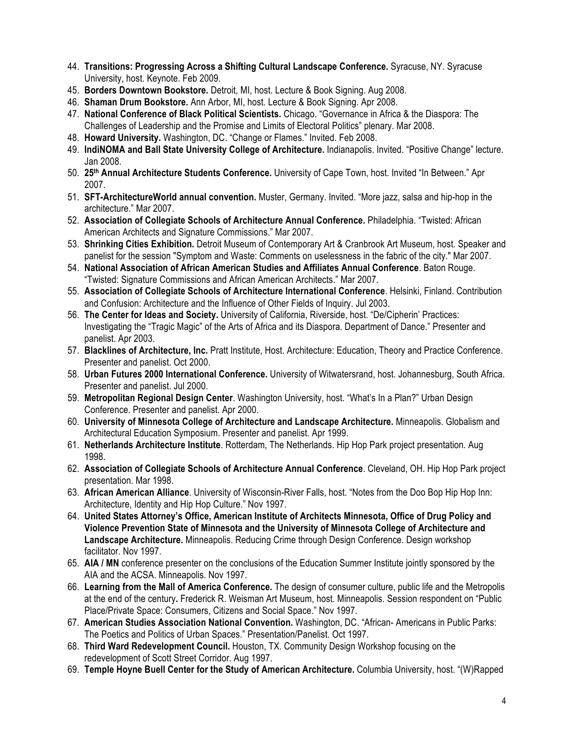- 44. **Transitions: Progressing Across a Shifting Cultural Landscape Conference.** Syracuse, NY. Syracuse University, host. Keynote. Feb 2009.
- 45. **Borders Downtown Bookstore.** Detroit, MI, host. Lecture & Book Signing. Aug 2008.
- 46. **Shaman Drum Bookstore.** Ann Arbor, MI, host. Lecture & Book Signing. Apr 2008.
- 47. **National Conference of Black Political Scientists.** Chicago. "Governance in Africa & the Diaspora: The Challenges of Leadership and the Promise and Limits of Electoral Politics" plenary. Mar 2008.
- 48. **Howard University.** Washington, DC. "Change or Flames." Invited. Feb 2008.
- 49. **IndiNOMA and Ball State University College of Architecture.** Indianapolis. Invited. "Positive Change" lecture. Jan 2008.
- 50. **25th Annual Architecture Students Conference.** University of Cape Town, host. Invited "In Between." Apr 2007.
- 51. **SFT-ArchitectureWorld annual convention.** Muster, Germany. Invited. "More jazz, salsa and hip-hop in the architecture." Mar 2007.
- 52. **Association of Collegiate Schools of Architecture Annual Conference.** Philadelphia. "Twisted: African American Architects and Signature Commissions." Mar 2007.
- 53. **Shrinking Cities Exhibition.** Detroit Museum of Contemporary Art & Cranbrook Art Museum, host. Speaker and panelist for the session "Symptom and Waste: Comments on uselessness in the fabric of the city." Mar 2007.
- 54. **National Association of African American Studies and Affiliates Annual Conference**. Baton Rouge. "Twisted: Signature Commissions and African American Architects." Mar 2007.
- 55. **Association of Collegiate Schools of Architecture International Conference**. Helsinki, Finland. Contribution and Confusion: Architecture and the Influence of Other Fields of Inquiry. Jul 2003.
- 56. **The Center for Ideas and Society.** University of California, Riverside, host. "De/Cipherin' Practices: Investigating the "Tragic Magic" of the Arts of Africa and its Diaspora. Department of Dance." Presenter and panelist. Apr 2003.
- 57. **Blacklines of Architecture, Inc.** Pratt Institute, Host. Architecture: Education, Theory and Practice Conference. Presenter and panelist. Oct 2000.
- 58. **Urban Futures 2000 International Conference.** University of Witwatersrand, host. Johannesburg, South Africa. Presenter and panelist. Jul 2000.
- 59. **Metropolitan Regional Design Center**. Washington University, host. "What's In a Plan?" Urban Design Conference. Presenter and panelist. Apr 2000.
- 60. **University of Minnesota College of Architecture and Landscape Architecture.** Minneapolis. Globalism and Architectural Education Symposium. Presenter and panelist. Apr 1999.
- 61. **Netherlands Architecture Institute**. Rotterdam, The Netherlands. Hip Hop Park project presentation. Aug 1998.
- 62. **Association of Collegiate Schools of Architecture Annual Conference**. Cleveland, OH. Hip Hop Park project presentation. Mar 1998.
- 63. **African American Alliance**. University of Wisconsin-River Falls, host. "Notes from the Doo Bop Hip Hop Inn: Architecture, Identity and Hip Hop Culture." Nov 1997.
- 64. **United States Attorney's Office, American Institute of Architects Minnesota, Office of Drug Policy and Violence Prevention State of Minnesota and the University of Minnesota College of Architecture and Landscape Architecture.** Minneapolis. Reducing Crime through Design Conference. Design workshop facilitator. Nov 1997.
- 65. **AIA / MN** conference presenter on the conclusions of the Education Summer Institute jointly sponsored by the AIA and the ACSA. Minneapolis. Nov 1997.
- 66. **Learning from the Mall of America Conference.** The design of consumer culture, public life and the Metropolis at the end of the century**.** Frederick R. Weisman Art Museum, host. Minneapolis. Session respondent on "Public Place/Private Space: Consumers, Citizens and Social Space." Nov 1997.
- 67. **American Studies Association National Convention.** Washington, DC. "African- Americans in Public Parks: The Poetics and Politics of Urban Spaces." Presentation/Panelist. Oct 1997.
- 68. **Third Ward Redevelopment Council.** Houston, TX. Community Design Workshop focusing on the redevelopment of Scott Street Corridor. Aug 1997.
- 69. **Temple Hoyne Buell Center for the Study of American Architecture.** Columbia University, host. "(W)Rapped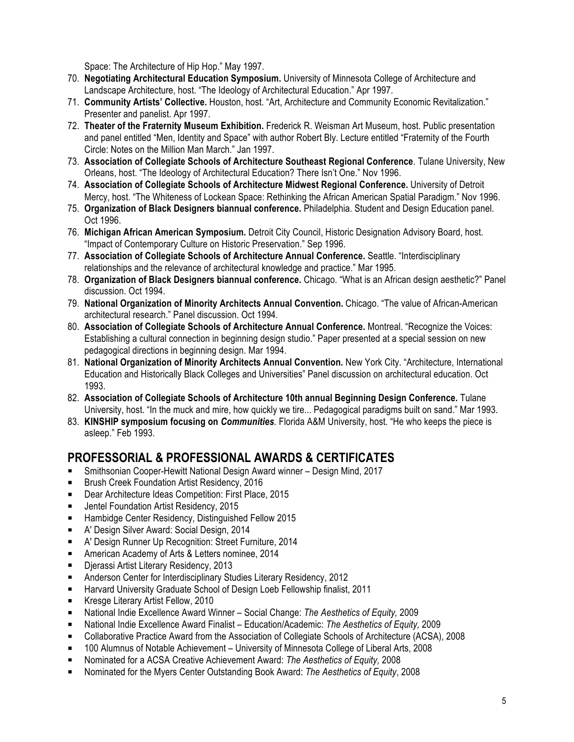Space: The Architecture of Hip Hop." May 1997.

- 70. **Negotiating Architectural Education Symposium.** University of Minnesota College of Architecture and Landscape Architecture, host. "The Ideology of Architectural Education." Apr 1997.
- 71. **Community Artists' Collective.** Houston, host. "Art, Architecture and Community Economic Revitalization." Presenter and panelist. Apr 1997.
- 72. **Theater of the Fraternity Museum Exhibition.** Frederick R. Weisman Art Museum, host. Public presentation and panel entitled "Men, Identity and Space" with author Robert Bly. Lecture entitled "Fraternity of the Fourth Circle: Notes on the Million Man March." Jan 1997.
- 73. **Association of Collegiate Schools of Architecture Southeast Regional Conference**. Tulane University, New Orleans, host. "The Ideology of Architectural Education? There Isn't One." Nov 1996.
- 74. **Association of Collegiate Schools of Architecture Midwest Regional Conference.** University of Detroit Mercy, host. "The Whiteness of Lockean Space: Rethinking the African American Spatial Paradigm." Nov 1996.
- 75. **Organization of Black Designers biannual conference.** Philadelphia. Student and Design Education panel. Oct 1996.
- 76. **Michigan African American Symposium.** Detroit City Council, Historic Designation Advisory Board, host. "Impact of Contemporary Culture on Historic Preservation." Sep 1996.
- 77. **Association of Collegiate Schools of Architecture Annual Conference.** Seattle. "Interdisciplinary relationships and the relevance of architectural knowledge and practice." Mar 1995.
- 78. **Organization of Black Designers biannual conference.** Chicago. "What is an African design aesthetic?" Panel discussion. Oct 1994.
- 79. **National Organization of Minority Architects Annual Convention.** Chicago. "The value of African-American architectural research." Panel discussion. Oct 1994.
- 80. **Association of Collegiate Schools of Architecture Annual Conference.** Montreal. "Recognize the Voices: Establishing a cultural connection in beginning design studio." Paper presented at a special session on new pedagogical directions in beginning design. Mar 1994.
- 81. **National Organization of Minority Architects Annual Convention.** New York City. "Architecture, International Education and Historically Black Colleges and Universities" Panel discussion on architectural education. Oct 1993.
- 82. **Association of Collegiate Schools of Architecture 10th annual Beginning Design Conference.** Tulane University, host. "In the muck and mire, how quickly we tire... Pedagogical paradigms built on sand." Mar 1993.
- 83. **KINSHIP symposium focusing on** *Communities.* Florida A&M University, host. "He who keeps the piece is asleep." Feb 1993.

### **PROFESSORIAL & PROFESSIONAL AWARDS & CERTIFICATES**

- ! Smithsonian Cooper-Hewitt National Design Award winner Design Mind, 2017
- ! Brush Creek Foundation Artist Residency, 2016
- **E** Dear Architecture Ideas Competition: First Place, 2015
- **E** Jentel Foundation Artist Residency, 2015
- **E** Hambidge Center Residency, Distinguished Fellow 2015
- **E** A' Design Silver Award: Social Design, 2014
- ! A' Design Runner Up Recognition: Street Furniture, 2014
- **E** American Academy of Arts & Letters nominee, 2014
- **E** Djerassi Artist Literary Residency, 2013
- **EXEDER** Anderson Center for Interdisciplinary Studies Literary Residency, 2012
- **E.** Harvard University Graduate School of Design Loeb Fellowship finalist, 2011
- **E** Kresge Literary Artist Fellow, 2010
- ! National Indie Excellence Award Winner Social Change: *The Aesthetics of Equity,* 2009
- ! National Indie Excellence Award Finalist Education/Academic: *The Aesthetics of Equity,* 2009
- ! Collaborative Practice Award from the Association of Collegiate Schools of Architecture (ACSA), 2008
- ! 100 Alumnus of Notable Achievement University of Minnesota College of Liberal Arts, 2008
- ! Nominated for a ACSA Creative Achievement Award: *The Aesthetics of Equity,* 2008
- ! Nominated for the Myers Center Outstanding Book Award: *The Aesthetics of Equity*, 2008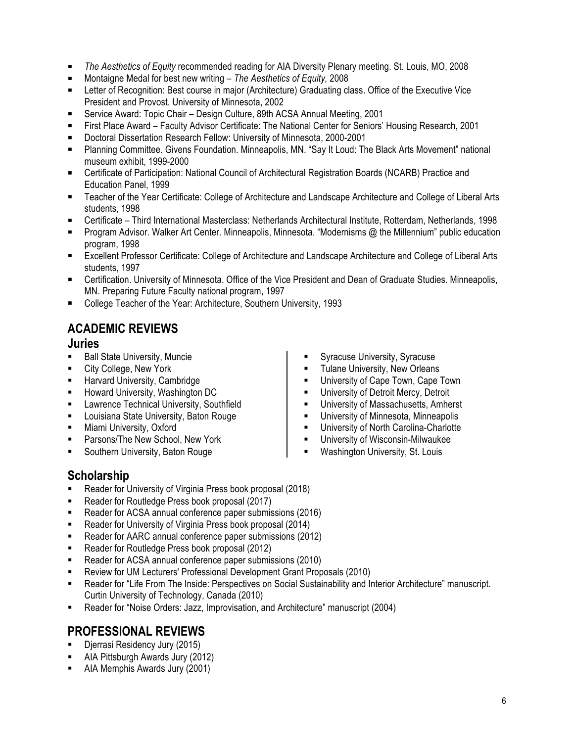- ! *The Aesthetics of Equity* recommended reading for AIA Diversity Plenary meeting. St. Louis, MO, 2008
- Montaigne Medal for best new writing *The Aesthetics of Equity,* 2008
- ! Letter of Recognition: Best course in major (Architecture) Graduating class. Office of the Executive Vice President and Provost. University of Minnesota, 2002
- ! Service Award: Topic Chair Design Culture, 89th ACSA Annual Meeting, 2001
- ! First Place Award Faculty Advisor Certificate: The National Center for Seniors' Housing Research, 2001
- **E** Doctoral Dissertation Research Fellow: University of Minnesota, 2000-2001
- ! Planning Committee. Givens Foundation. Minneapolis, MN. "Say It Loud: The Black Arts Movement" national museum exhibit, 1999-2000
- ! Certificate of Participation: National Council of Architectural Registration Boards (NCARB) Practice and Education Panel, 1999
- ! Teacher of the Year Certificate: College of Architecture and Landscape Architecture and College of Liberal Arts students, 1998
- ! Certificate Third International Masterclass: Netherlands Architectural Institute, Rotterdam, Netherlands, 1998
- ! Program Advisor. Walker Art Center. Minneapolis, Minnesota. "Modernisms @ the Millennium" public education program, 1998
- ! Excellent Professor Certificate: College of Architecture and Landscape Architecture and College of Liberal Arts students, 1997
- ! Certification. University of Minnesota. Office of the Vice President and Dean of Graduate Studies. Minneapolis, MN. Preparing Future Faculty national program, 1997
- **E** College Teacher of the Year: Architecture, Southern University, 1993

## **ACADEMIC REVIEWS**

#### **Juries**

- **Ball State University, Muncie**
- City College, New York
- Harvard University, Cambridge
- **E** Howard University, Washington DC
- **EXECUTE:** Lawrence Technical University, Southfield
- Louisiana State University, Baton Rouge
- **E** Miami University, Oxford
- **EXECUTE:** Parsons/The New School, New York
- **EXEC** Southern University, Baton Rouge
- Syracuse University, Syracuse
- **Tulane University, New Orleans**
- University of Cape Town, Cape Town
- **.** University of Detroit Mercy, Detroit
- University of Massachusetts, Amherst
- University of Minnesota, Minneapolis
- University of North Carolina-Charlotte
- **E** University of Wisconsin-Milwaukee
- **.** Washington University, St. Louis

#### **Scholarship**

- Reader for University of Virginia Press book proposal (2018)
- **E** Reader for Routledge Press book proposal (2017)
- **EXECT** Reader for ACSA annual conference paper submissions (2016)
- Reader for University of Virginia Press book proposal (2014)
- Reader for AARC annual conference paper submissions (2012)
- **E** Reader for Routledge Press book proposal (2012)
- Reader for ACSA annual conference paper submissions (2010)
- ! Review for UM Lecturers' Professional Development Grant Proposals (2010)
- ! Reader for "Life From The Inside: Perspectives on Social Sustainability and Interior Architecture" manuscript. Curtin University of Technology, Canada (2010)
- ! Reader for "Noise Orders: Jazz, Improvisation, and Architecture" manuscript (2004)

#### **PROFESSIONAL REVIEWS**

- Djerrasi Residency Jury (2015)
- ! AIA Pittsburgh Awards Jury (2012)
- ! AIA Memphis Awards Jury (2001)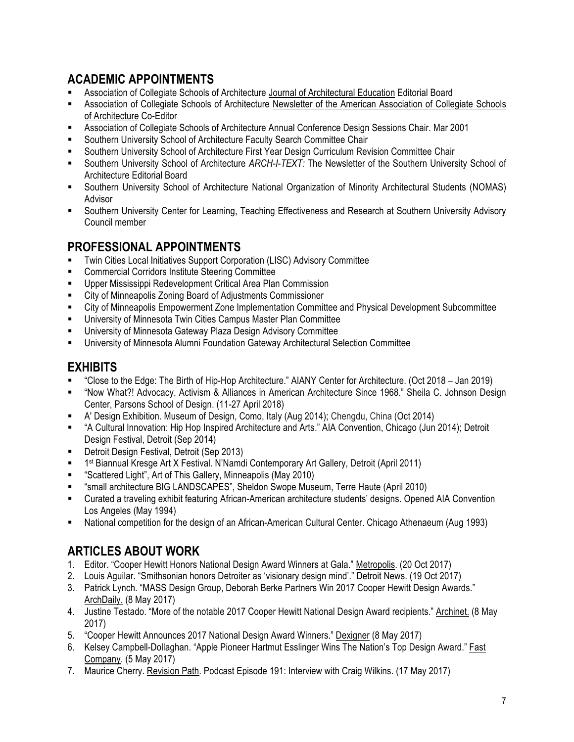# **ACADEMIC APPOINTMENTS**

- Association of Collegiate Schools of Architecture Journal of Architectural Education Editorial Board
- Association of Collegiate Schools of Architecture Newsletter of the American Association of Collegiate Schools of Architecture Co-Editor
- ! Association of Collegiate Schools of Architecture Annual Conference Design Sessions Chair. Mar 2001
- Southern University School of Architecture Faculty Search Committee Chair
- ! Southern University School of Architecture First Year Design Curriculum Revision Committee Chair
- ! Southern University School of Architecture *ARCH-I-TEXT:* The Newsletter of the Southern University School of Architecture Editorial Board
- ! Southern University School of Architecture National Organization of Minority Architectural Students (NOMAS) Advisor
- ! Southern University Center for Learning, Teaching Effectiveness and Research at Southern University Advisory Council member

#### **PROFESSIONAL APPOINTMENTS**

- ! Twin Cities Local Initiatives Support Corporation (LISC) Advisory Committee
- ! Commercial Corridors Institute Steering Committee
- **E** Upper Mississippi Redevelopment Critical Area Plan Commission
- **EXECT:** City of Minneapolis Zoning Board of Adjustments Commissioner
- ! City of Minneapolis Empowerment Zone Implementation Committee and Physical Development Subcommittee
- ! University of Minnesota Twin Cities Campus Master Plan Committee
- ! University of Minnesota Gateway Plaza Design Advisory Committee
- ! University of Minnesota Alumni Foundation Gateway Architectural Selection Committee

#### **EXHIBITS**

- ! "Close to the Edge: The Birth of Hip-Hop Architecture." AIANY Center for Architecture. (Oct 2018 Jan 2019)
- ! "Now What?! Advocacy, Activism & Alliances in American Architecture Since 1968." Sheila C. Johnson Design Center, Parsons School of Design. (11-27 April 2018)
- ! A' Design Exhibition. Museum of Design, Como, Italy (Aug 2014); Chengdu, China (Oct 2014)
- ! "A Cultural Innovation: Hip Hop Inspired Architecture and Arts." AIA Convention, Chicago (Jun 2014); Detroit Design Festival, Detroit (Sep 2014)
- **Detroit Design Festival, Detroit (Sep 2013)**
- 1<sup>st</sup> Biannual Kresge Art X Festival. N'Namdi Contemporary Art Gallery, Detroit (April 2011)
- ! "Scattered Light", Art of This Gallery, Minneapolis (May 2010)
- ! "small architecture BIG LANDSCAPES", Sheldon Swope Museum, Terre Haute (April 2010)
- ! Curated a traveling exhibit featuring African-American architecture students' designs. Opened AIA Convention Los Angeles (May 1994)
- ! National competition for the design of an African-American Cultural Center. Chicago Athenaeum (Aug 1993)

### **ARTICLES ABOUT WORK**

- 1. Editor. "Cooper Hewitt Honors National Design Award Winners at Gala." Metropolis. (20 Oct 2017)
- 2. Louis Aguilar. "Smithsonian honors Detroiter as 'visionary design mind'." Detroit News. (19 Oct 2017)
- 3. Patrick Lynch. "MASS Design Group, Deborah Berke Partners Win 2017 Cooper Hewitt Design Awards." ArchDaily. (8 May 2017)
- 4. Justine Testado. "More of the notable 2017 Cooper Hewitt National Design Award recipients." Archinet. (8 May 2017)
- 5. "Cooper Hewitt Announces 2017 National Design Award Winners." Dexigner (8 May 2017)
- 6. Kelsey Campbell-Dollaghan. "Apple Pioneer Hartmut Esslinger Wins The Nation's Top Design Award." Fast Company. (5 May 2017)
- 7. Maurice Cherry. Revision Path. Podcast Episode 191: Interview with Craig Wilkins. (17 May 2017)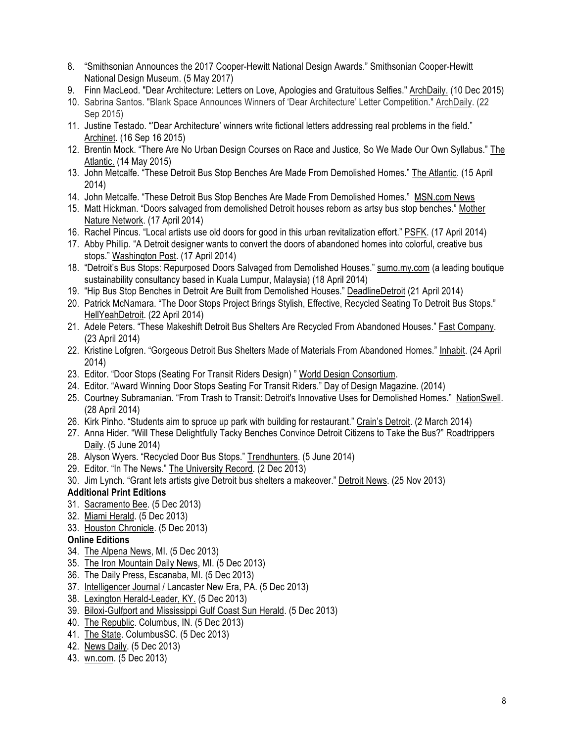- 8. "Smithsonian Announces the 2017 Cooper-Hewitt National Design Awards." Smithsonian Cooper-Hewitt National Design Museum. (5 May 2017)
- 9. Finn MacLeod. "Dear Architecture: Letters on Love, Apologies and Gratuitous Selfies." ArchDaily. (10 Dec 2015)
- 10. Sabrina Santos. "Blank Space Announces Winners of 'Dear Architecture' Letter Competition." ArchDaily. (22 Sep 2015)
- 11. Justine Testado. "'Dear Architecture' winners write fictional letters addressing real problems in the field." Archinet. (16 Sep 16 2015)
- 12. Brentin Mock. "There Are No Urban Design Courses on Race and Justice, So We Made Our Own Syllabus." The Atlantic. (14 May 2015)
- 13. John Metcalfe. "These Detroit Bus Stop Benches Are Made From Demolished Homes." The Atlantic. (15 April 2014)
- 14. John Metcalfe. "These Detroit Bus Stop Benches Are Made From Demolished Homes." MSN.com News
- 15. Matt Hickman. "Doors salvaged from demolished Detroit houses reborn as artsy bus stop benches." Mother Nature Network. (17 April 2014)
- 16. Rachel Pincus. "Local artists use old doors for good in this urban revitalization effort." PSFK. (17 April 2014)
- 17. Abby Phillip. "A Detroit designer wants to convert the doors of abandoned homes into colorful, creative bus stops." Washington Post. (17 April 2014)
- 18. "Detroit's Bus Stops: Repurposed Doors Salvaged from Demolished Houses." sumo.my.com (a leading boutique sustainability consultancy based in Kuala Lumpur, Malaysia) (18 April 2014)
- 19. "Hip Bus Stop Benches in Detroit Are Built from Demolished Houses." DeadlineDetroit (21 April 2014)
- 20. Patrick McNamara. "The Door Stops Project Brings Stylish, Effective, Recycled Seating To Detroit Bus Stops." HellYeahDetroit. (22 April 2014)
- 21. Adele Peters. "These Makeshift Detroit Bus Shelters Are Recycled From Abandoned Houses." Fast Company. (23 April 2014)
- 22. Kristine Lofgren. "Gorgeous Detroit Bus Shelters Made of Materials From Abandoned Homes." Inhabit. (24 April 2014)
- 23. Editor. "Door Stops (Seating For Transit Riders Design) " World Design Consortium.
- 24. Editor. "Award Winning Door Stops Seating For Transit Riders." Day of Design Magazine. (2014)
- 25. Courtney Subramanian. "From Trash to Transit: Detroit's Innovative Uses for Demolished Homes." NationSwell. (28 April 2014)
- 26. Kirk Pinho. "Students aim to spruce up park with building for restaurant." Crain's Detroit. (2 March 2014)
- 27. Anna Hider. "Will These Delightfully Tacky Benches Convince Detroit Citizens to Take the Bus?" Roadtrippers Daily. (5 June 2014)
- 28. Alyson Wyers. "Recycled Door Bus Stops." Trendhunters. (5 June 2014)
- 29. Editor. "In The News." The University Record. (2 Dec 2013)
- 30. Jim Lynch. "Grant lets artists give Detroit bus shelters a makeover." Detroit News. (25 Nov 2013)

#### **Additional Print Editions**

- 31. Sacramento Bee. (5 Dec 2013)
- 32. Miami Herald. (5 Dec 2013)
- 33. Houston Chronicle. (5 Dec 2013)

#### **Online Editions**

- 34. The Alpena News, MI. (5 Dec 2013)
- 35. The Iron Mountain Daily News, MI. (5 Dec 2013)
- 36. The Daily Press, Escanaba, MI. (5 Dec 2013)
- 37. Intelligencer Journal / Lancaster New Era, PA. (5 Dec 2013)
- 38. Lexington Herald-Leader, KY. (5 Dec 2013)
- 39. Biloxi-Gulfport and Mississippi Gulf Coast Sun Herald. (5 Dec 2013)
- 40. The Republic. Columbus, IN. (5 Dec 2013)
- 41. The State. ColumbusSC. (5 Dec 2013)
- 42. News Daily. (5 Dec 2013)
- 43. wn.com. (5 Dec 2013)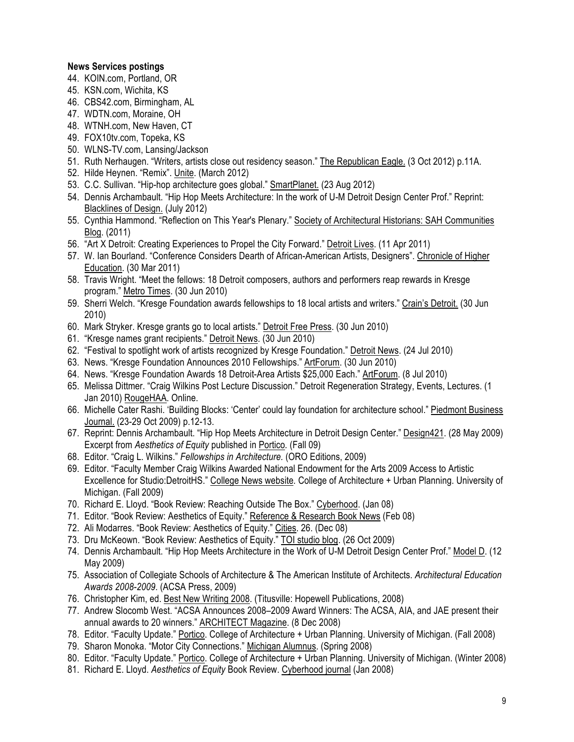#### **News Services postings**

- 44. KOIN.com, Portland, OR
- 45. KSN.com, Wichita, KS
- 46. CBS42.com, Birmingham, AL
- 47. WDTN.com, Moraine, OH
- 48. WTNH.com, New Haven, CT
- 49. FOX10tv.com, Topeka, KS
- 50. WLNS-TV.com, Lansing/Jackson
- 51. Ruth Nerhaugen. "Writers, artists close out residency season." The Republican Eagle. (3 Oct 2012) p.11A.
- 52. Hilde Heynen. "Remix". Unite. (March 2012)
- 53. C.C. Sullivan. "Hip-hop architecture goes global." SmartPlanet. (23 Aug 2012)
- 54. Dennis Archambault. "Hip Hop Meets Architecture: In the work of U-M Detroit Design Center Prof." Reprint: Blacklines of Design. (July 2012)
- 55. Cynthia Hammond. "Reflection on This Year's Plenary." Society of Architectural Historians: SAH Communities Blog. (2011)
- 56. "Art X Detroit: Creating Experiences to Propel the City Forward." Detroit Lives. (11 Apr 2011)
- 57. W. Ian Bourland. "Conference Considers Dearth of African-American Artists, Designers". Chronicle of Higher Education. (30 Mar 2011)
- 58. Travis Wright. "Meet the fellows: 18 Detroit composers, authors and performers reap rewards in Kresge program." Metro Times. (30 Jun 2010)
- 59. Sherri Welch. "Kresge Foundation awards fellowships to 18 local artists and writers." Crain's Detroit. (30 Jun 2010)
- 60. Mark Stryker. Kresge grants go to local artists." Detroit Free Press. (30 Jun 2010)
- 61. "Kresge names grant recipients." Detroit News. (30 Jun 2010)
- 62. "Festival to spotlight work of artists recognized by Kresge Foundation." Detroit News. (24 Jul 2010)
- 63. News. "Kresge Foundation Announces 2010 Fellowships." ArtForum. (30 Jun 2010)
- 64. News. "Kresge Foundation Awards 18 Detroit-Area Artists \$25,000 Each." ArtForum. (8 Jul 2010)
- 65. Melissa Dittmer. "Craig Wilkins Post Lecture Discussion." Detroit Regeneration Strategy, Events, Lectures. (1 Jan 2010) RougeHAA. Online.
- 66. Michelle Cater Rashi. 'Building Blocks: 'Center' could lay foundation for architecture school." Piedmont Business Journal. (23-29 Oct 2009) p.12-13.
- 67. Reprint: Dennis Archambault. "Hip Hop Meets Architecture in Detroit Design Center." Design421. (28 May 2009) Excerpt from *Aesthetics of Equity* published in Portico*.* (Fall 09)
- 68. Editor. "Craig L. Wilkins." *Fellowships in Architecture.* (ORO Editions, 2009)
- 69. Editor. "Faculty Member Craig Wilkins Awarded National Endowment for the Arts 2009 Access to Artistic Excellence for Studio:DetroitHS." College News website*.* College of Architecture + Urban Planning. University of Michigan. (Fall 2009)
- 70. Richard E. Lloyd. "Book Review: Reaching Outside The Box." Cyberhood. (Jan 08)
- 71. Editor. "Book Review: Aesthetics of Equity." Reference & Research Book News (Feb 08)
- 72. Ali Modarres. "Book Review: Aesthetics of Equity." Cities. 26. (Dec 08)
- 73. Dru McKeown. "Book Review: Aesthetics of Equity." TOI studio blog. (26 Oct 2009)
- 74. Dennis Archambault. "Hip Hop Meets Architecture in the Work of U-M Detroit Design Center Prof." Model D. (12 May 2009)
- 75. Association of Collegiate Schools of Architecture & The American Institute of Architects. *Architectural Education Awards 2008-2009*. (ACSA Press, 2009)
- 76. Christopher Kim, ed. Best New Writing 2008. (Titusville: Hopewell Publications, 2008)
- 77. Andrew Slocomb West. "ACSA Announces 2008–2009 Award Winners: The ACSA, AIA, and JAE present their annual awards to 20 winners." ARCHITECT Magazine. (8 Dec 2008)
- 78. Editor. "Faculty Update." Portico. College of Architecture + Urban Planning. University of Michigan. (Fall 2008)
- 79. Sharon Monoka. "Motor City Connections." Michigan Alumnus. (Spring 2008)
- 80. Editor. "Faculty Update." Portico. College of Architecture + Urban Planning. University of Michigan. (Winter 2008)
- 81. Richard E. Lloyd. *Aesthetics of Equity* Book Review. Cyberhood journal (Jan 2008)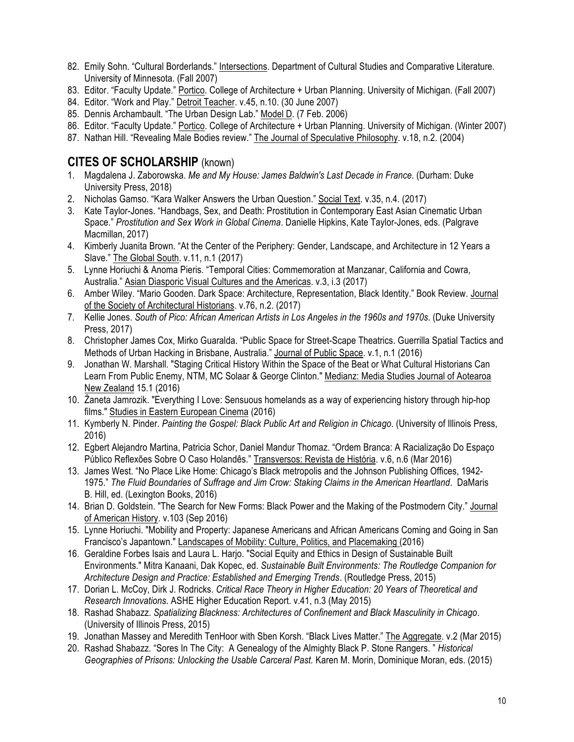- 82. Emily Sohn. "Cultural Borderlands." Intersections. Department of Cultural Studies and Comparative Literature. University of Minnesota. (Fall 2007)
- 83. Editor. "Faculty Update." Portico. College of Architecture + Urban Planning. University of Michigan. (Fall 2007)
- 84. Editor. "Work and Play." Detroit Teacher. v.45, n.10. (30 June 2007)
- 85. Dennis Archambault. "The Urban Design Lab." Model D. (7 Feb. 2006)
- 86. Editor. "Faculty Update." Portico. College of Architecture + Urban Planning. University of Michigan. (Winter 2007)
- 87. Nathan Hill. "Revealing Male Bodies review." The Journal of Speculative Philosophy. v.18, n.2. (2004)

### **CITES OF SCHOLARSHIP** (known)

- 1. Magdalena J. Zaborowska. *Me and My House: James Baldwin's Last Decade in France*. (Durham: Duke University Press, 2018)
- 2. Nicholas Gamso. "Kara Walker Answers the Urban Question." Social Text. v.35, n.4. (2017)
- 3. Kate Taylor-Jones. "Handbags, Sex, and Death: Prostitution in Contemporary East Asian Cinematic Urban Space." *Prostitution and Sex Work in Global Cinema*. Danielle Hipkins, Kate Taylor-Jones, eds. (Palgrave Macmillan, 2017)
- 4. Kimberly Juanita Brown. "At the Center of the Periphery: Gender, Landscape, and Architecture in 12 Years a Slave." The Global South. v.11, n.1 (2017)
- 5. Lynne Horiuchi & Anoma Pieris. "Temporal Cities: Commemoration at Manzanar, California and Cowra, Australia." Asian Diasporic Visual Cultures and the Americas. v.3, i.3 (2017)
- 6. Amber Wiley. "Mario Gooden. Dark Space: Architecture, Representation, Black Identity." Book Review. Journal of the Society of Architectural Historians. v.76, n.2. (2017)
- 7. Kellie Jones. *South of Pico: African American Artists in Los Angeles in the 1960s and 1970s*. (Duke University Press, 2017)
- 8. Christopher James Cox, Mirko Guaralda. "Public Space for Street-Scape Theatrics. Guerrilla Spatial Tactics and Methods of Urban Hacking in Brisbane, Australia." Journal of Public Space. v.1, n.1 (2016)
- 9. Jonathan W. Marshall. "Staging Critical History Within the Space of the Beat or What Cultural Historians Can Learn From Public Enemy, NTM, MC Solaar & George Clinton." Medianz: Media Studies Journal of Aotearoa New Zealand 15.1 (2016)
- 10. Żaneta Jamrozik. "Everything I Love: Sensuous homelands as a way of experiencing history through hip-hop films." Studies in Eastern European Cinema (2016)
- 11. Kymberly N. Pinder. *Painting the Gospel: Black Public Art and Religion in Chicago*. (University of Illinois Press, 2016)
- 12. Egbert Alejandro Martina, Patricia Schor, Daniel Mandur Thomaz. "Ordem Branca: A Racialização Do Espaço Público Reflexões Sobre O Caso Holandês." Transversos: Revista de História. v.6, n.6 (Mar 2016)
- 13. James West. "No Place Like Home: Chicago's Black metropolis and the Johnson Publishing Offices, 1942- 1975." *The Fluid Boundaries of Suffrage and Jim Crow: Staking Claims in the American Heartland*. DaMaris B. Hill, ed. (Lexington Books, 2016)
- 14. Brian D. Goldstein. "The Search for New Forms: Black Power and the Making of the Postmodern City." Journal of American History. v.103 (Sep 2016)
- 15. Lynne Horiuchi. "Mobility and Property: Japanese Americans and African Americans Coming and Going in San Francisco's Japantown." Landscapes of Mobility: Culture, Politics, and Placemaking (2016)
- 16. Geraldine Forbes Isais and Laura L. Harjo. "Social Equity and Ethics in Design of Sustainable Built Environments." Mitra Kanaani, Dak Kopec, ed. *Sustainable Built Environments: The Routledge Companion for Architecture Design and Practice: Established and Emerging Trends*. (Routledge Press, 2015)
- 17. Dorian L. McCoy, Dirk J. Rodricks. *Critical Race Theory in Higher Education: 20 Years of Theoretical and Research Innovations*. ASHE Higher Education Report. v.41, n.3 (May 2015)
- 18. Rashad Shabazz. *Spatializing Blackness: Architectures of Confinement and Black Masculinity in Chicago*. (University of Illinois Press, 2015)
- 19. Jonathan Massey and Meredith TenHoor with Sben Korsh. "Black Lives Matter." The Aggregate. v.2 (Mar 2015)
- 20. Rashad Shabazz. "Sores In The City: A Genealogy of the Almighty Black P. Stone Rangers. " *Historical Geographies of Prisons: Unlocking the Usable Carceral Past.* Karen M. Morin, Dominique Moran, eds. (2015)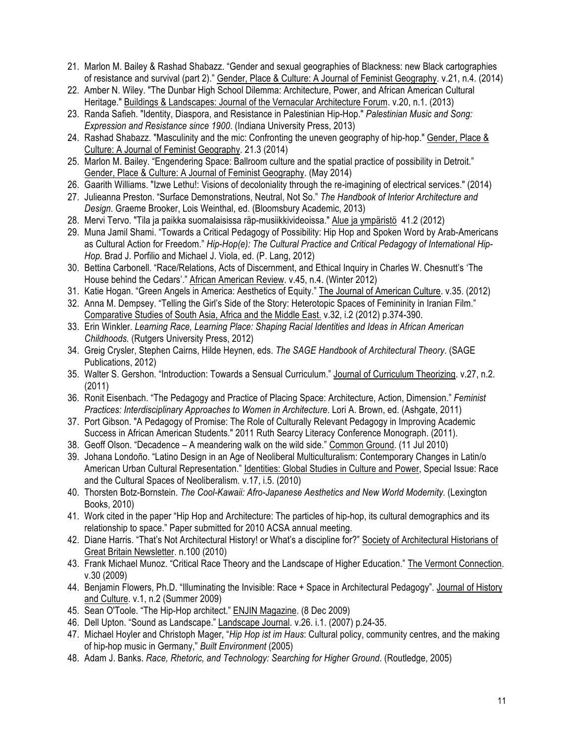- 21. Marlon M. Bailey & Rashad Shabazz. "Gender and sexual geographies of Blackness: new Black cartographies of resistance and survival (part 2)." Gender, Place & Culture: A Journal of Feminist Geography. v.21, n.4. (2014)
- 22. Amber N. Wiley. "The Dunbar High School Dilemma: Architecture, Power, and African American Cultural Heritage." Buildings & Landscapes: Journal of the Vernacular Architecture Forum. v.20, n.1. (2013)
- 23. Randa Safieh. "Identity, Diaspora, and Resistance in Palestinian Hip-Hop." *Palestinian Music and Song: Expression and Resistance since 1900*. (Indiana University Press, 2013)
- 24. Rashad Shabazz. "Masculinity and the mic: Confronting the uneven geography of hip-hop." Gender, Place & Culture: A Journal of Feminist Geography. 21.3 (2014)
- 25. Marlon M. Bailey. "Engendering Space: Ballroom culture and the spatial practice of possibility in Detroit." Gender, Place & Culture: A Journal of Feminist Geography. (May 2014)
- 26. Gaarith Williams. "Izwe Lethu!: Visions of decoloniality through the re-imagining of electrical services." (2014)
- 27. Julieanna Preston. "Surface Demonstrations, Neutral, Not So." *The Handbook of Interior Architecture and Design*. Graeme Brooker, Lois Weinthal, ed. (Bloomsbury Academic, 2013)
- 28. Mervi Tervo. "Tila ja paikka suomalaisissa räp-musiikkivideoissa." Alue ja ympäristö 41.2 (2012)
- 29. Muna Jamil Shami. "Towards a Critical Pedagogy of Possibility: Hip Hop and Spoken Word by Arab-Americans as Cultural Action for Freedom." *Hip-Hop(e): The Cultural Practice and Critical Pedagogy of International Hip-Hop.* Brad J. Porfilio and Michael J. Viola, ed. (P. Lang, 2012)
- 30. Bettina Carbonell. "Race/Relations, Acts of Discernment, and Ethical Inquiry in Charles W. Chesnutt's 'The House behind the Cedars'." African American Review. v.45, n.4. (Winter 2012)
- 31. Katie Hogan. "Green Angels in America: Aesthetics of Equity." The Journal of American Culture. v.35. (2012)
- 32. Anna M. Dempsey. "Telling the Girl's Side of the Story: Heterotopic Spaces of Femininity in Iranian Film." Comparative Studies of South Asia, Africa and the Middle East. v.32, i.2 (2012) p.374-390.
- 33. Erin Winkler. *Learning Race, Learning Place: Shaping Racial Identities and Ideas in African American Childhoods.* (Rutgers University Press, 2012)
- 34. Greig Crysler, Stephen Cairns, Hilde Heynen, eds. *The SAGE Handbook of Architectural Theory*. (SAGE Publications, 2012)
- 35. Walter S. Gershon. "Introduction: Towards a Sensual Curriculum." Journal of Curriculum Theorizing. v.27, n.2. (2011)
- 36. Ronit Eisenbach. "The Pedagogy and Practice of Placing Space: Architecture, Action, Dimension." *Feminist Practices: Interdisciplinary Approaches to Women in Architecture*. Lori A. Brown, ed. (Ashgate, 2011)
- 37. Port Gibson. "A Pedagogy of Promise: The Role of Culturally Relevant Pedagogy in Improving Academic Success in African American Students." 2011 Ruth Searcy Literacy Conference Monograph. (2011).
- 38. Geoff Olson. "Decadence A meandering walk on the wild side." Common Ground. (11 Jul 2010)
- 39. Johana Londoño. "Latino Design in an Age of Neoliberal Multiculturalism: Contemporary Changes in Latin/o American Urban Cultural Representation." Identities: Global Studies in Culture and Power, Special Issue: Race and the Cultural Spaces of Neoliberalism*.* v.17, i.5. (2010)
- 40. Thorsten Botz-Bornstein. *The Cool-Kawaii: Afro-Japanese Aesthetics and New World Modernity.* (Lexington Books, 2010)
- 41. Work cited in the paper "Hip Hop and Architecture: The particles of hip-hop, its cultural demographics and its relationship to space." Paper submitted for 2010 ACSA annual meeting.
- 42. Diane Harris. "That's Not Architectural History! or What's a discipline for?" Society of Architectural Historians of Great Britain Newsletter. n.100 (2010)
- 43. Frank Michael Munoz. "Critical Race Theory and the Landscape of Higher Education." The Vermont Connection. v.30 (2009)
- 44. Benjamin Flowers, Ph.D. "Illuminating the Invisible: Race + Space in Architectural Pedagogy". Journal of History and Culture. v.1, n.2 (Summer 2009)
- 45. Sean O'Toole. "The Hip-Hop architect." ENJIN Magazine. (8 Dec 2009)
- 46. Dell Upton. "Sound as Landscape." Landscape Journal*.* v.26. i.1. (2007) p.24-35.
- 47. Michael Hoyler and Christoph Mager, "*Hip Hop ist im Haus*: Cultural policy, community centres, and the making of hip-hop music in Germany," *Built Environment* (2005)
- 48. Adam J. Banks. *Race, Rhetoric, and Technology: Searching for Higher Ground*. (Routledge, 2005)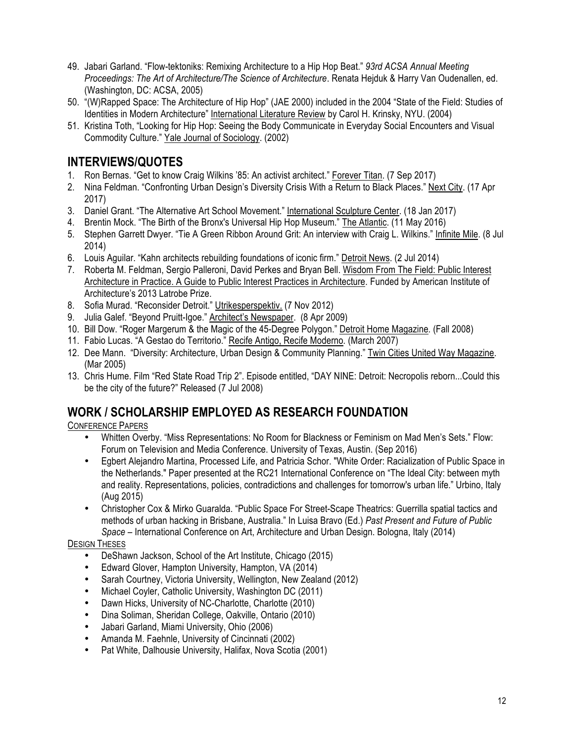- 49. Jabari Garland. "Flow-tektoniks: Remixing Architecture to a Hip Hop Beat." *93rd ACSA Annual Meeting Proceedings: The Art of Architecture/The Science of Architecture*. Renata Hejduk & Harry Van Oudenallen, ed. (Washington, DC: ACSA, 2005)
- 50. "(W)Rapped Space: The Architecture of Hip Hop" (JAE 2000) included in the 2004 "State of the Field: Studies of Identities in Modern Architecture" International Literature Review by Carol H. Krinsky, NYU. (2004)
- 51. Kristina Toth, "Looking for Hip Hop: Seeing the Body Communicate in Everyday Social Encounters and Visual Commodity Culture." Yale Journal of Sociology. (2002)

# **INTERVIEWS/QUOTES**

- 1. Ron Bernas. "Get to know Craig Wilkins '85: An activist architect." Forever Titan. (7 Sep 2017)
- 2. Nina Feldman. "Confronting Urban Design's Diversity Crisis With a Return to Black Places." Next City. (17 Apr 2017)
- 3. Daniel Grant. "The Alternative Art School Movement." International Sculpture Center. (18 Jan 2017)
- 4. Brentin Mock. "The Birth of the Bronx's Universal Hip Hop Museum." The Atlantic. (11 May 2016)
- 5. Stephen Garrett Dwyer. "Tie A Green Ribbon Around Grit: An interview with Craig L. Wilkins." Infinite Mile. (8 Jul 2014)
- 6. Louis Aguilar. "Kahn architects rebuilding foundations of iconic firm." Detroit News. (2 Jul 2014)
- 7. Roberta M. Feldman, Sergio Palleroni, David Perkes and Bryan Bell. Wisdom From The Field: Public Interest Architecture in Practice. A Guide to Public Interest Practices in Architecture*.* Funded by American Institute of Architecture's 2013 Latrobe Prize.
- 8. Sofia Murad. "Reconsider Detroit." Utrikesperspektiv. (7 Nov 2012)
- 9. Julia Galef. "Beyond Pruitt-Igoe." Architect's Newspaper. (8 Apr 2009)
- 10. Bill Dow. "Roger Margerum & the Magic of the 45-Degree Polygon." Detroit Home Magazine*.* (Fall 2008)
- 11. Fabio Lucas. "A Gestao do Territorio." Recife Antigo, Recife Moderno*.* (March 2007)
- 12. Dee Mann. "Diversity: Architecture, Urban Design & Community Planning." Twin Cities United Way Magazine. (Mar 2005)
- 13. Chris Hume. Film "Red State Road Trip 2". Episode entitled, "DAY NINE: Detroit: Necropolis reborn...Could this be the city of the future?" Released (7 Jul 2008)

### **WORK / SCHOLARSHIP EMPLOYED AS RESEARCH FOUNDATION**

#### CONFERENCE PAPERS

- Whitten Overby. "Miss Representations: No Room for Blackness or Feminism on Mad Men's Sets." Flow: Forum on Television and Media Conference. University of Texas, Austin. (Sep 2016)
- Egbert Alejandro Martina, Processed Life, and Patricia Schor. "White Order: Racialization of Public Space in the Netherlands." Paper presented at the RC21 International Conference on "The Ideal City: between myth and reality. Representations, policies, contradictions and challenges for tomorrow's urban life." Urbino, Italy (Aug 2015)
- Christopher Cox & Mirko Guaralda. "Public Space For Street-Scape Theatrics: Guerrilla spatial tactics and methods of urban hacking in Brisbane, Australia." In Luisa Bravo (Ed.) *Past Present and Future of Public Space* – International Conference on Art, Architecture and Urban Design. Bologna, Italy (2014)

#### DESIGN THESES

- DeShawn Jackson, School of the Art Institute, Chicago (2015)
- Edward Glover, Hampton University, Hampton, VA (2014)
- Sarah Courtney, Victoria University, Wellington, New Zealand (2012)
- Michael Coyler, Catholic University, Washington DC (2011)
- Dawn Hicks, University of NC-Charlotte, Charlotte (2010)
- Dina Soliman, Sheridan College, Oakville, Ontario (2010)
- Jabari Garland, Miami University, Ohio (2006)
- Amanda M. Faehnle, University of Cincinnati (2002)
- Pat White, Dalhousie University, Halifax, Nova Scotia (2001)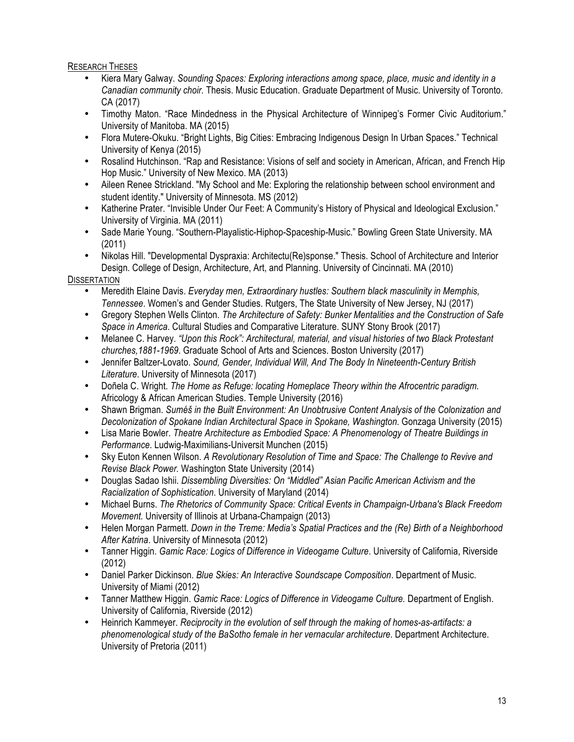#### RESEARCH THESES

- Kiera Mary Galway. *Sounding Spaces: Exploring interactions among space, place, music and identity in a Canadian community choir.* Thesis. Music Education. Graduate Department of Music. University of Toronto. CA (2017)
- Timothy Maton. "Race Mindedness in the Physical Architecture of Winnipeg's Former Civic Auditorium." University of Manitoba. MA (2015)
- Flora Mutere-Okuku. "Bright Lights, Big Cities: Embracing Indigenous Design In Urban Spaces." Technical University of Kenya (2015)
- Rosalind Hutchinson. "Rap and Resistance: Visions of self and society in American, African, and French Hip Hop Music." University of New Mexico. MA (2013)
- Aileen Renee Strickland. "My School and Me: Exploring the relationship between school environment and student identity." University of Minnesota. MS (2012)
- Katherine Prater. "Invisible Under Our Feet: A Community's History of Physical and Ideological Exclusion." University of Virginia. MA (2011)
- Sade Marie Young. "Southern-Playalistic-Hiphop-Spaceship-Music." Bowling Green State University. MA (2011)
- Nikolas Hill. "Developmental Dyspraxia: Architectu(Re)sponse." Thesis. School of Architecture and Interior Design. College of Design, Architecture, Art, and Planning. University of Cincinnati. MA (2010)

#### **DISSERTATION**

- Meredith Elaine Davis. *Everyday men, Extraordinary hustles: Southern black masculinity in Memphis, Tennessee*. Women's and Gender Studies. Rutgers, The State University of New Jersey, NJ (2017)
- Gregory Stephen Wells Clinton. *The Architecture of Safety: Bunker Mentalities and the Construction of Safe Space in America*. Cultural Studies and Comparative Literature. SUNY Stony Brook (2017)
- Melanee C. Harvey. *"Upon this Rock": Architectural, material, and visual histories of two Black Protestant churches,1881-1969*. Graduate School of Arts and Sciences. Boston University (2017)
- Jennifer Baltzer-Lovato. *Sound, Gender, Individual Will, And The Body In Nineteenth-Century British Literature*. University of Minnesota (2017)
- Doñela C. Wright. *The Home as Refuge: locating Homeplace Theory within the Afrocentric paradigm.*  Africology & African American Studies. Temple University (2016)
- Shawn Brigman. *Suméš in the Built Environment: An Unobtrusive Content Analysis of the Colonization and Decolonization of Spokane Indian Architectural Space in Spokane, Washington*. Gonzaga University (2015)
- Lisa Marie Bowler. *Theatre Architecture as Embodied Space: A Phenomenology of Theatre Buildings in Performance*. Ludwig-Maximilians-Universit Munchen (2015)
- Sky Euton Kennen Wilson. *A Revolutionary Resolution of Time and Space: The Challenge to Revive and Revise Black Power.* Washington State University (2014)
- Douglas Sadao Ishii. *Dissembling Diversities: On "Middled" Asian Pacific American Activism and the Racialization of Sophistication*. University of Maryland (2014)
- Michael Burns. *The Rhetorics of Community Space: Critical Events in Champaign-Urbana's Black Freedom Movement.* University of Illinois at Urbana-Champaign (2013)
- Helen Morgan Parmett. *Down in the Treme: Media's Spatial Practices and the (Re) Birth of a Neighborhood After Katrina*. University of Minnesota (2012)
- Tanner Higgin. *Gamic Race: Logics of Difference in Videogame Culture*. University of California, Riverside (2012)
- Daniel Parker Dickinson. *Blue Skies: An Interactive Soundscape Composition*. Department of Music. University of Miami (2012)
- Tanner Matthew Higgin. *Gamic Race: Logics of Difference in Videogame Culture.* Department of English. University of California, Riverside (2012)
- Heinrich Kammeyer. *Reciprocity in the evolution of self through the making of homes-as-artifacts: a phenomenological study of the BaSotho female in her vernacular architecture*. Department Architecture. University of Pretoria (2011)